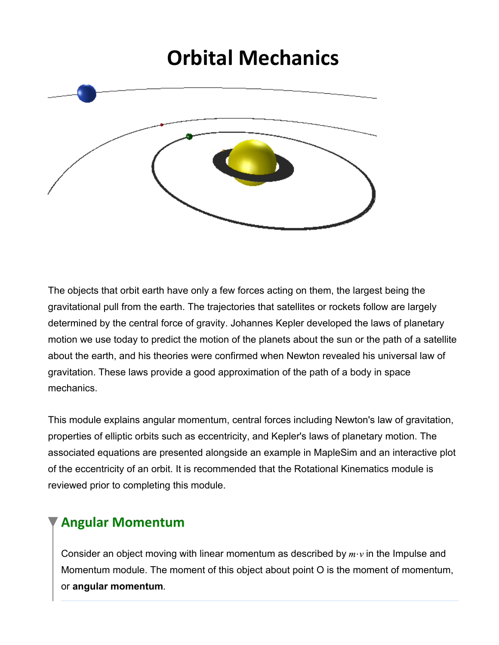# **Orbital Mechanics**



The objects that orbit earth have only a few forces acting on them, the largest being the gravitational pull from the earth. The trajectories that satellites or rockets follow are largely determined by the central force of gravity. Johannes Kepler developed the laws of planetary motion we use today to predict the motion of the planets about the sun or the path of a satellite about the earth, and his theories were confirmed when Newton revealed his universal law of gravitation. These laws provide a good approximation of the path of a body in space mechanics.

This module explains angular momentum, central forces including Newton's law of gravitation, properties of elliptic orbits such as eccentricity, and Kepler's laws of planetary motion. The associated equations are presented alongside an example in MapleSim and an interactive plot of the eccentricity of an orbit. It is recommended that the Rotational Kinematics module is reviewed prior to completing this module.

## **Angular Momentum**

Consider an object moving with linear momentum as described by  $m \cdot v$  in the Impulse and Momentum module. The moment of this object about point O is the moment of momentum, or **angular momentum**.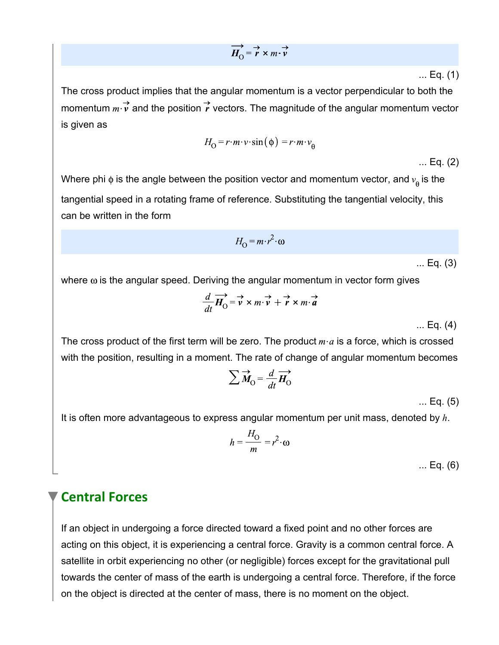$$
\overrightarrow{H}_{\Omega} = \overrightarrow{r} \times m \cdot \overrightarrow{v}
$$

... Eq. (1)

The cross product implies that the angular momentum is a vector perpendicular to both the momentum  $m \rightarrow \infty$  and the position  $\overrightarrow{r}$  vectors. The magnitude of the angular momentum vector is given as

$$
H_{\Omega} = r \cdot m \cdot v \cdot \sin(\phi) = r \cdot m \cdot v_{\theta}
$$

... Eq. (2)

Where phi  $\phi$  is the angle between the position vector and momentum vector, and  $v_{\rm a}$  is the tangential speed in a rotating frame of reference. Substituting the tangential velocity, this can be written in the form

$$
H_{\Omega} = m \cdot r^2 \cdot \omega
$$

... Eq. (3)

where  $\omega$  is the angular speed. Deriving the angular momentum in vector form gives

$$
\frac{d}{dt}\overrightarrow{H_{\text{O}}} = \overrightarrow{v} \times m \cdot \overrightarrow{v} + \overrightarrow{r} \times m \cdot \overrightarrow{a}
$$

... Eq. (4)

The cross product of the first term will be zero. The product  $m \cdot a$  is a force, which is crossed with the position, resulting in a moment. The rate of change of angular momentum becomes

$$
\sum \vec{M}_{\rm O} = \frac{d}{dt} \vec{H}_{\rm O}
$$

... Eq. (5)

It is often more advantageous to express angular momentum per unit mass, denoted by *h*.

$$
h = \frac{H_O}{m} = r^2 \cdot \omega
$$

... Eq. (6)

## **Central Forces**

If an object in undergoing a force directed toward a fixed point and no other forces are acting on this object, it is experiencing a central force. Gravity is a common central force. A satellite in orbit experiencing no other (or negligible) forces except for the gravitational pull towards the center of mass of the earth is undergoing a central force. Therefore, if the force on the object is directed at the center of mass, there is no moment on the object.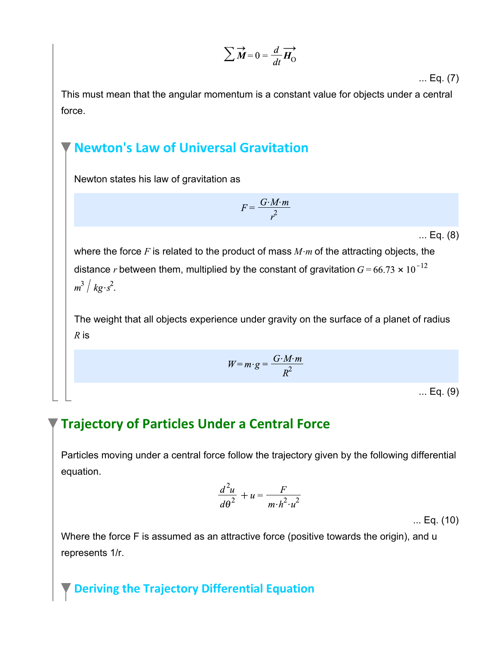$$
\sum \overrightarrow{\boldsymbol{M}} = 0 = \frac{d}{dt} \overrightarrow{\boldsymbol{H}}_{\boldsymbol{0}}
$$

... Eq. (7)

This must mean that the angular momentum is a constant value for objects under a central force.

## **Newton's Law of Universal Gravitation**

Newton states his law of gravitation as

$$
F = \frac{G \cdot M \cdot m}{r^2}
$$

... Eq. (8)

where the force  $F$  is related to the product of mass  $M \cdot m$  of the attracting objects, the distance *r* between them, multiplied by the constant of gravitation  $G = 66.73 \times 10^{-12}$  $m^3/kg\cdot s^2$ .

The weight that all objects experience under gravity on the surface of a planet of radius *R* is

$$
W = m \cdot g = \frac{G \cdot M \cdot m}{R^2}
$$

... Eq. (9)

# **Trajectory of Particles Under a Central Force**

Particles moving under a central force follow the trajectory given by the following differential equation.

$$
\frac{d^2u}{d\theta^2} + u = \frac{F}{m \cdot h^2 \cdot u^2}
$$

... Eq. (10)

Where the force F is assumed as an attractive force (positive towards the origin), and u represents 1/r.

## **Deriving the Trajectory Differential Equation**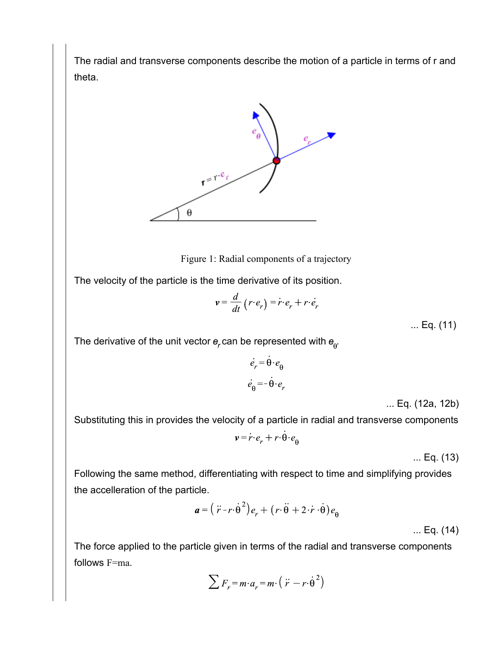The radial and transverse components describe the motion of a particle in terms of r and theta.



Figure 1: Radial components of a trajectory

The velocity of the particle is the time derivative of its position.

$$
v = \frac{d}{dt} (r \cdot e_r) = \dot{r} \cdot e_r + r \cdot \dot{e}_r
$$

... Eq. (11)

The derivative of the unit vector  $e_r$  can be represented with  $e_{\theta}$ .

$$
\dot{e}_r = \dot{\theta} \cdot e_\theta
$$

$$
\dot{e}_\theta = -\dot{\theta} \cdot e_r
$$

... Eq. (12a, 12b)

Substituting this in provides the velocity of a particle in radial and transverse components

$$
\mathbf{v} = \dot{r} \cdot e_r + r \cdot \dot{\theta} \cdot e_\theta
$$

... Eq. (13)

Following the same method, differentiating with respect to time and simplifying provides the accelleration of the particle.

$$
\boldsymbol{a} = (\ddot{r} - r \cdot \dot{\theta}^2) e_r + (r \cdot \ddot{\theta} + 2 \cdot \dot{r} \cdot \dot{\theta}) e_{\theta}
$$

... Eq. (14)

The force applied to the particle given in terms of the radial and transverse components follows F=ma.

$$
\sum F_r = m \cdot a_r = m \cdot \left( \ddot{r} - r \cdot \dot{\theta}^2 \right)
$$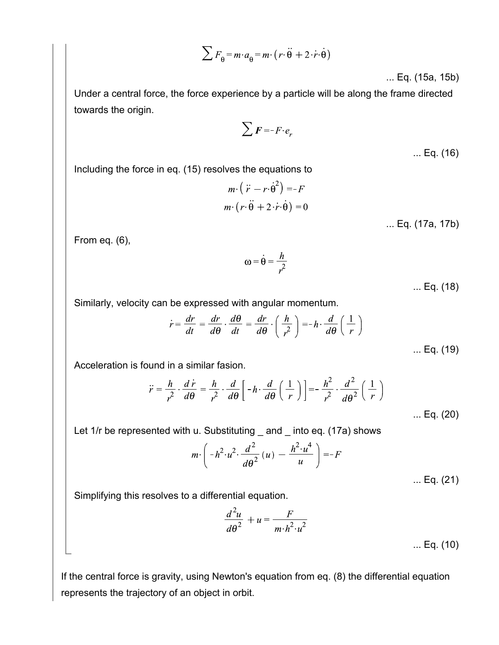$$
\sum F_{\hat{\theta}} = m \cdot a_{\hat{\theta}} = m \cdot (r \cdot \ddot{\theta} + 2 \cdot \dot{r} \cdot \dot{\theta})
$$

... Eq. (15a, 15b)

Under a central force, the force experience by a particle will be along the frame directed towards the origin.

 $\sum$  F = - F· $e_r$ 

... Eq. (16)

Including the force in eq. (15) resolves the equations to

$$
m \cdot (\ddot{r} - r \cdot \dot{\theta}^{2}) = -F
$$
  

$$
m \cdot (r \cdot \ddot{\theta} + 2 \cdot \dot{r} \cdot \dot{\theta}) = 0
$$
  
... Eq. (17a, 17b)

From eq. (6),

 $\omega = \dot{\theta} = \frac{h}{r^2}$ 

... Eq. (18)

Similarly, velocity can be expressed with angular momentum.

$$
\dot{r} = \frac{dr}{dt} = \frac{dr}{d\theta} \cdot \frac{d\theta}{dt} = \frac{dr}{d\theta} \cdot \left(\frac{h}{r^2}\right) = -h \cdot \frac{d}{d\theta} \left(\frac{1}{r}\right)
$$
\n... Eq. (19)

Acceleration is found in a similar fasion.

$$
\ddot{r} = \frac{h}{r^2} \cdot \frac{d\dot{r}}{d\theta} = \frac{h}{r^2} \cdot \frac{d}{d\theta} \left[ -h \cdot \frac{d}{d\theta} \left( \frac{1}{r} \right) \right] = -\frac{h^2}{r^2} \cdot \frac{d^2}{d\theta^2} \left( \frac{1}{r} \right)
$$
\n... Eq. (20)

Let 1/r be represented with u. Substituting \_ and \_ into eq. (17a) shows

$$
m \cdot \left( -h^2 \cdot u^2 \cdot \frac{d^2}{d\theta^2} (u) - \frac{h^2 \cdot u^4}{u} \right) = -F
$$

... Eq. (21)

Simplifying this resolves to a differential equation.

$$
\frac{d^2u}{d\theta^2} + u = \frac{F}{m \cdot h^2 \cdot u^2}
$$
 ... Eq. (10)

If the central force is gravity, using Newton's equation from eq. (8) the differential equation represents the trajectory of an object in orbit.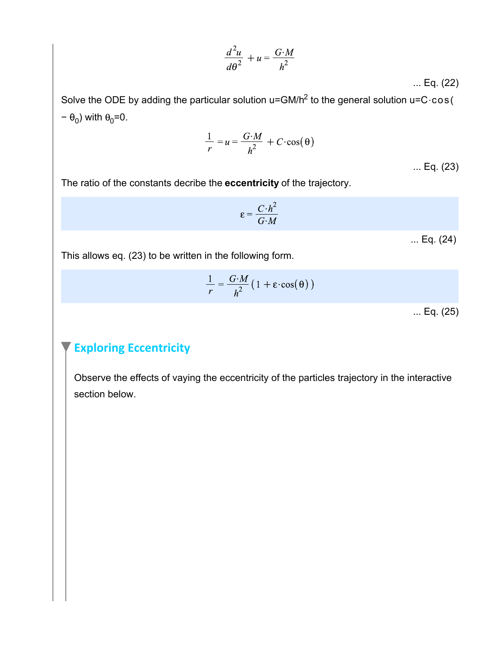$$
\frac{d^2u}{d\theta^2} + u = \frac{G \cdot M}{h^2}
$$

... Eq. (22)

Solve the ODE by adding the particular solution u=GM/h<sup>2</sup> to the general solution u=C·cos( <sub>0</sub>) with  $\theta_0$ =0.

$$
\frac{1}{r} = u = \frac{G \cdot M}{h^2} + C \cdot \cos(\theta)
$$

... Eq. (23)

The ratio of the constants decribe the **eccentricity** of the trajectory.

$$
\varepsilon = \frac{C \cdot h^2}{G \cdot M}
$$

... Eq. (24)

This allows eq. (23) to be written in the following form.

$$
\frac{1}{r} = \frac{G \cdot M}{h^2} \left( 1 + \varepsilon \cdot \cos(\theta) \right)
$$

... Eq. (25)

#### **Exploring Eccentricity**

Observe the effects of vaying the eccentricity of the particles trajectory in the interactive section below.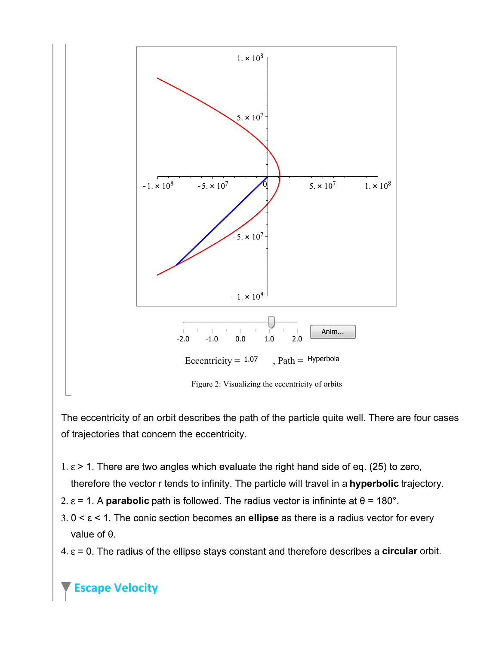

The eccentricity of an orbit describes the path of the particle quite well. There are four cases of trajectories that concern the eccentricity.

- 1.  $\epsilon$  > 1. There are two angles which evaluate the right hand side of eq. (25) to zero,
- therefore the vector r tends to infinity. The particle will travel in a **hyperbolic** trajectory.
- $2. \varepsilon = 1.$  A **parabolic**
- $3.0 \leq \epsilon \leq 1$ . The conic section becomes an **ellipse** as there is a radius vector for every value of  $\theta$ .
- $4. \ \varepsilon$  = 0. The radius of the ellipse stays constant and therefore describes a **circular** orbit.

## **Escape Velocity**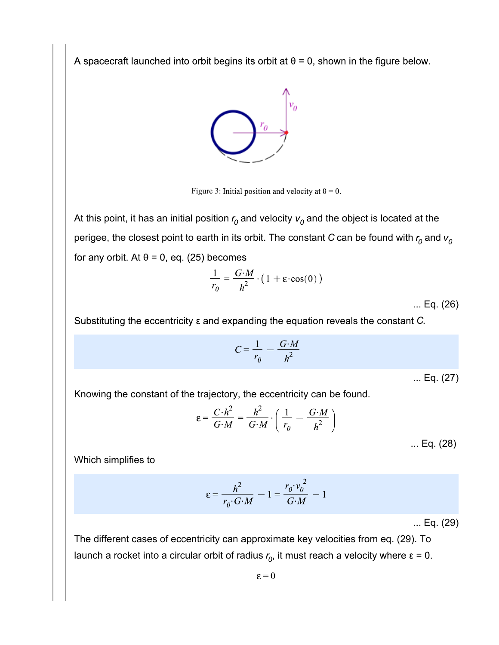A spacecraft launched into orbit begins its orbit at  $\theta = 0$ , shown in the figure below.



Figure 3: Initial position and velocity at  $\theta = 0$ .

At this point, it has an initial position  $r_0$  and velocity  $v_0$  and the object is located at the perigee, the closest point to earth in its orbit. The constant *C* can be found with  $r_0$  and  $v_0$ for any orbit. At  $\theta$  = 0, eq. (25) becomes

$$
\frac{1}{r_0} = \frac{G \cdot M}{h^2} \cdot \left(1 + \varepsilon \cdot \cos(0)\right)
$$

... Eq. (26)

Substituting the eccentricity  $\varepsilon$  and expanding the equation reveals the constant C.

$$
C = \frac{1}{r_0} - \frac{G \cdot M}{h^2}
$$

... Eq. (27)

Knowing the constant of the trajectory, the eccentricity can be found.

$$
\varepsilon = \frac{C \cdot h^2}{G \cdot M} = \frac{h^2}{G \cdot M} \cdot \left(\frac{1}{r_0} - \frac{G \cdot M}{h^2}\right)
$$

... Eq. (28)

Which simplifies to

$$
\varepsilon = \frac{h^2}{r_0 \cdot G \cdot M} - 1 = \frac{r_0 \cdot v_0^2}{G \cdot M} - 1
$$

... Eq. (29)

The different cases of eccentricity can approximate key velocities from eq. (29). To launch a rocket into a circular orbit of radius  $r_0$ , it must reach a velocity where  $\varepsilon = 0$ .

 $\epsilon = 0$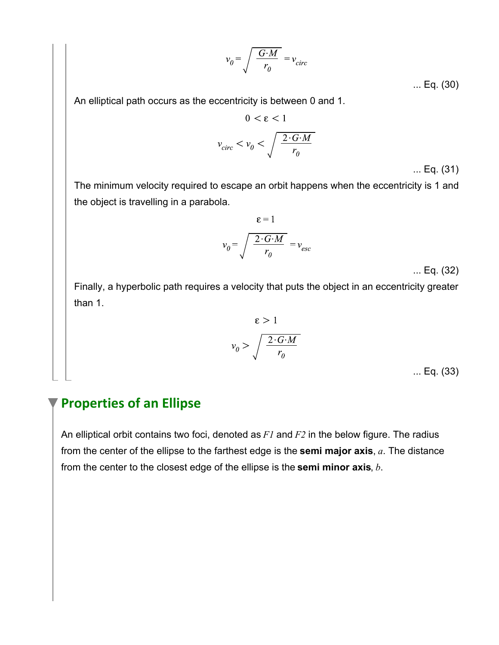$$
v_0 = \sqrt{\frac{G \cdot M}{r_0}} = v_{circ}
$$

... Eq. (30)

An elliptical path occurs as the eccentricity is between 0 and 1.

$$
0 < \varepsilon < 1
$$
\n
$$
v_{circ} < v_0 < \sqrt{\frac{2 \cdot G \cdot M}{r_0}}
$$

... Eq. (31)

The minimum velocity required to escape an orbit happens when the eccentricity is 1 and the object is travelling in a parabola.

$$
\varepsilon = 1
$$

$$
v_0 = \sqrt{\frac{2 \cdot G \cdot M}{r_0}} = v_{esc}
$$

... Eq. (32)

Finally, a hyperbolic path requires a velocity that puts the object in an eccentricity greater than 1.

$$
\varepsilon > 1
$$

$$
v_0 > \sqrt{\frac{2 \cdot G \cdot M}{r_0}}
$$

... Eq. (33)

# **Properties of an Ellipse**

An elliptical orbit contains two foci, denoted as *F1* and *F2* in the below figure. The radius from the center of the ellipse to the farthest edge is the **semi major axis**, *a*. The distance from the center to the closest edge of the ellipse is the **semi minor axis**, *b*.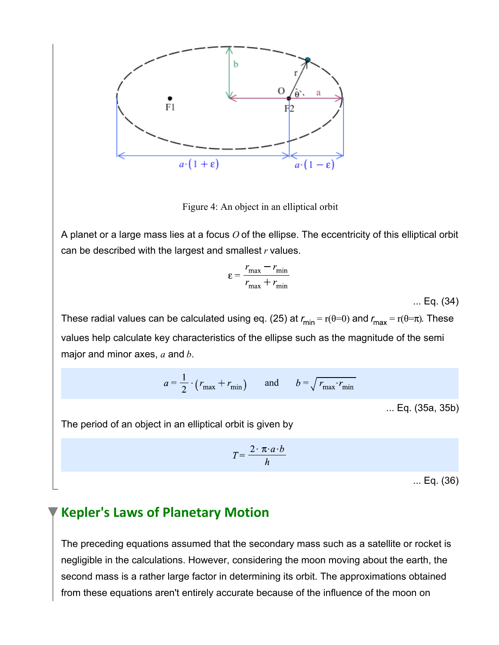

Figure 4: An object in an elliptical orbit

A planet or a large mass lies at a focus *O* of the ellipse. The eccentricity of this elliptical orbit can be described with the largest and smallest *r* values.

$$
\varepsilon = \frac{r_{\text{max}} - r_{\text{min}}}{r_{\text{max}} + r_{\text{min}}}
$$

... Eq. (34)

These radial values can be calculated using eq. (25) at  $r_{min} = r(\theta=0)$  and  $r_{max} = r(\theta=\pi)$ . These values help calculate key characteristics of the ellipse such as the magnitude of the semi major and minor axes, *a* and *b*.

$$
a = \frac{1}{2} \cdot (r_{\text{max}} + r_{\text{min}}) \qquad \text{and} \qquad b = \sqrt{r_{\text{max}} \cdot r_{\text{min}}}
$$

... Eq. (35a, 35b)

The period of an object in an elliptical orbit is given by

$$
T = \frac{2 \cdot \pi \cdot a \cdot b}{h}
$$

... Eq. (36)

## **Kepler's Laws of Planetary Motion**

The preceding equations assumed that the secondary mass such as a satellite or rocket is negligible in the calculations. However, considering the moon moving about the earth, the second mass is a rather large factor in determining its orbit. The approximations obtained from these equations aren't entirely accurate because of the influence of the moon on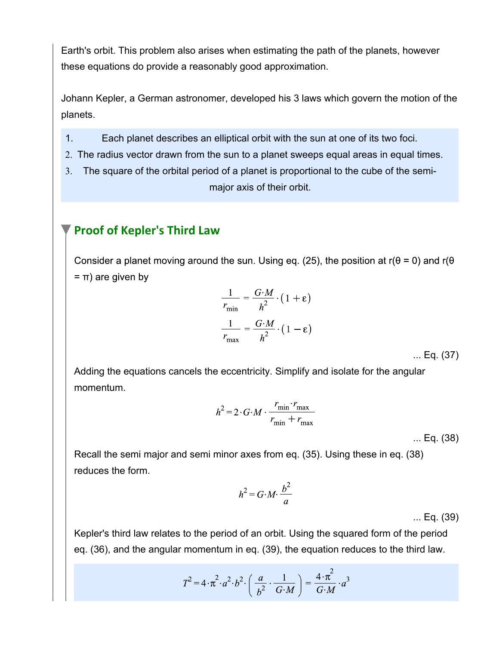Earth's orbit. This problem also arises when estimating the path of the planets, however these equations do provide a reasonably good approximation.

Johann Kepler, a German astronomer, developed his 3 laws which govern the motion of the planets.

- 1. Each planet describes an elliptical orbit with the sun at one of its two foci.
- 2. The radius vector drawn from the sun to a planet sweeps equal areas in equal times.
- The square of the orbital period of a planet is proportional to the cube of the semi-3. major axis of their orbit.

#### **Proof of Kepler's Third Law**

Consider a planet moving around the sun. Using eq. (25), the position at  $r(\theta = 0)$  and  $r(\theta$  $=$   $\pi$ ) are given by

$$
\frac{1}{r_{\min}} = \frac{G \cdot M}{h^2} \cdot \left(1 + \varepsilon\right)
$$

$$
\frac{1}{r_{\max}} = \frac{G \cdot M}{h^2} \cdot \left(1 - \varepsilon\right)
$$

... Eq. (37)

Adding the equations cancels the eccentricity. Simplify and isolate for the angular momentum.

$$
h^2 = 2 \cdot G \cdot M \cdot \frac{r_{\min} \cdot r_{\max}}{r_{\min} + r_{\max}}
$$

... Eq. (38)

Recall the semi major and semi minor axes from eq. (35). Using these in eq. (38) reduces the form.

$$
h^2 = G \cdot M \cdot \frac{b^2}{a}
$$

... Eq. (39)

Kepler's third law relates to the period of an orbit. Using the squared form of the period eq. (36), and the angular momentum in eq. (39), the equation reduces to the third law.

$$
T^2 = 4 \cdot \pi^2 \cdot a^2 \cdot b^2 \cdot \left(\frac{a}{b^2} \cdot \frac{1}{G \cdot M}\right) = \frac{4 \cdot \pi^2}{G \cdot M} \cdot a^3
$$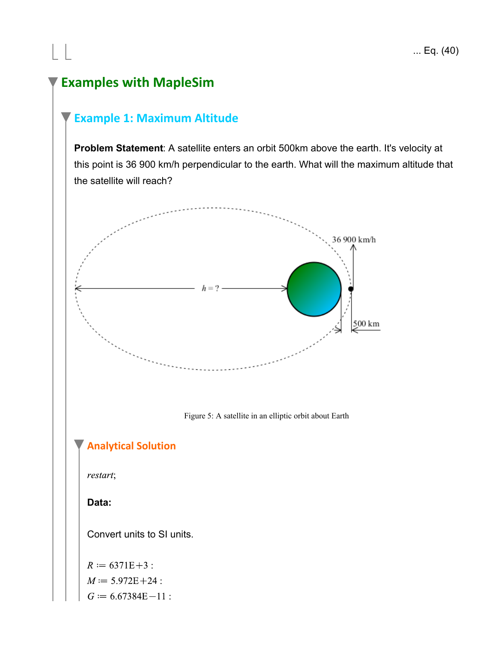# **Examples with MapleSim**

 $\Box$ 

## **Example 1: Maximum Altitude**

**Problem Statement**: A satellite enters an orbit 500km above the earth. It's velocity at this point is 36 900 km/h perpendicular to the earth. What will the maximum altitude that the satellite will reach?

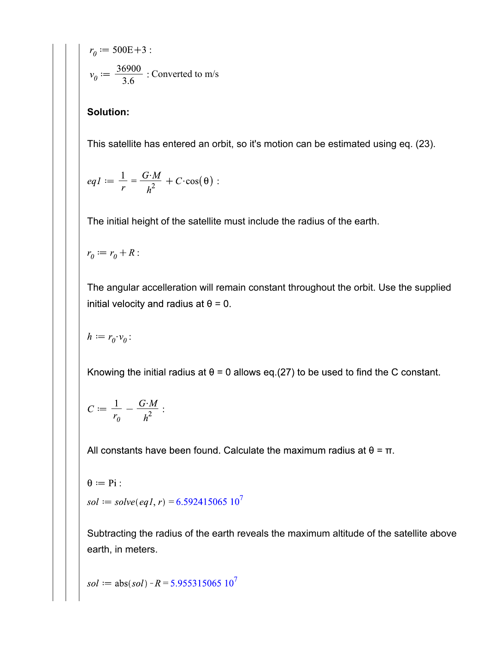$$
r_0 := 500E + 3:
$$
  

$$
v_0 := \frac{36900}{3.6} : \text{Converted to m/s}
$$

#### **Solution:**

This satellite has entered an orbit, so it's motion can be estimated using eq. (23).

$$
eqI := \frac{1}{r} = \frac{G \cdot M}{h^2} + C \cdot \cos(\theta) :
$$

The initial height of the satellite must include the radius of the earth.

$$
r_0 := r_0 + R:
$$

The angular accelleration will remain constant throughout the orbit. Use the supplied initial velocity and radius at  $\theta = 0$ .

$$
h := r_0 \cdot v_0:
$$

Knowing the initial radius at  $\theta = 0$  allows eq.(27) to be used to find the C constant.

$$
C:=\frac{1}{r_0}-\frac{G\smash\cdot M}{h^2}:
$$

All constants have been found. Calculate the maximum radius at  $\theta = \pi$ .

$$
\theta := Pi:
$$
  
 $sol := solve(eq1, r) = 6.592415065 10^7$ 

Subtracting the radius of the earth reveals the maximum altitude of the satellite above earth, in meters.

$$
sol := abs(sol) - R = 5.955315065 107
$$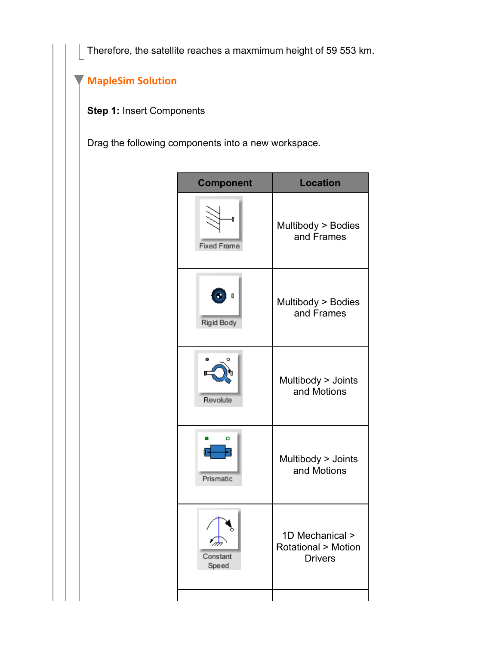Therefore, the satellite reaches a maxmimum height of 59 553 km.

# **MapleSim Solution**

**Step 1:** Insert Components

Drag the following components into a new workspace.

| <b>Component</b>   | <b>Location</b>                   |  |  |
|--------------------|-----------------------------------|--|--|
| Ð                  | Multibody > Bodies                |  |  |
| <b>Fixed Frame</b> | and Frames                        |  |  |
| O                  | Multibody > Bodies                |  |  |
| Rigid Body         | and Frames                        |  |  |
| Revolute           | Multibody > Joints<br>and Motions |  |  |
| ο                  | Multibody > Joints                |  |  |
| Prismatic          | and Motions                       |  |  |
| ∕₩                 | 1D Mechanical >                   |  |  |
| Constant           | <b>Rotational &gt; Motion</b>     |  |  |
| Speed              | <b>Drivers</b>                    |  |  |
|                    |                                   |  |  |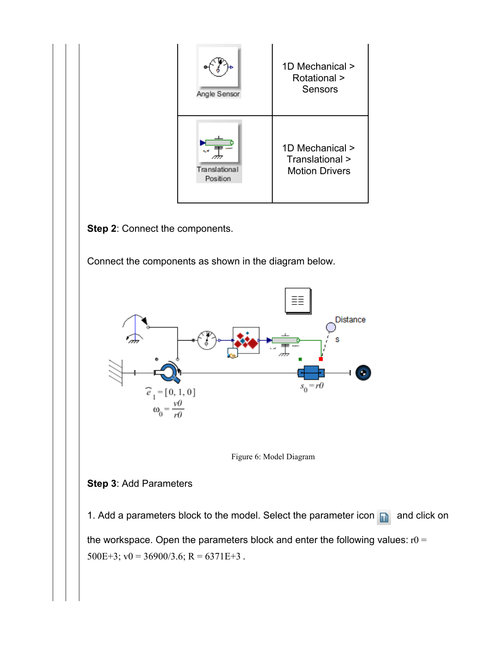| Angle Sensor              | 1D Mechanical ><br><b>Rotational &gt;</b><br>Sensors        |
|---------------------------|-------------------------------------------------------------|
| Translational<br>Position | 1D Mechanical ><br>Translational ><br><b>Motion Drivers</b> |

**Step 2**: Connect the components.

Connect the components as shown in the diagram below.





#### **Step 3**: Add Parameters

1. Add a parameters block to the model. Select the parameter icon  $\Box$  and click on the workspace. Open the parameters block and enter the following values:  $r0 =$ 500E+3;  $v0 = 36900/3.6$ ; R = 6371E+3.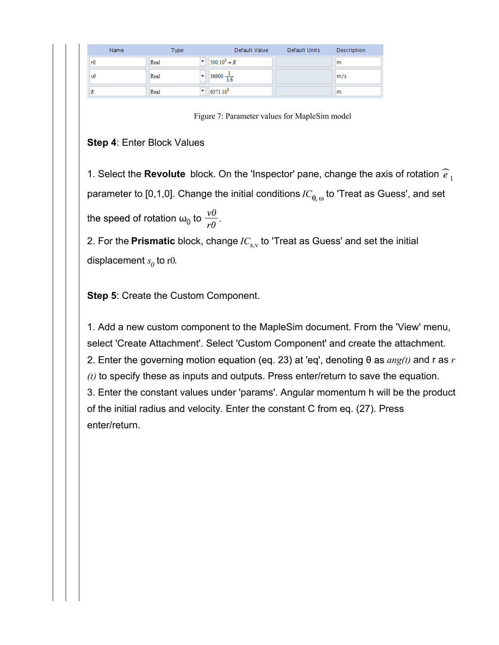| Name | Type | Default Value         | Default Units | Description             |
|------|------|-----------------------|---------------|-------------------------|
| rО   | Real | $500 10^3 + R$        |               | m                       |
| vO   | Real | $36900 \frac{1}{3.6}$ |               | $\mathsf{m}/\mathsf{s}$ |
| л    | Real | $637110^3$            |               | m                       |

Figure 7: Parameter values for MapleSim model

#### **Step 4**: Enter Block Values

1. Select the **Revolute** block. On the 'Inspector' pane, change the axis of rotation  $\widehat{e}_1$ parameter to [0,1,0]. Change the initial conditions  $IC_{\theta,\omega}$  to 'Treat as Guess', and set  $\frac{v}{r}$  to  $\frac{v}{r}$ .

2. For the **Prismatic** block, change  $IC_{s,v}$  to 'Treat as Guess' and set the initial displacement  $s_{\theta}$  to r0.

**Step 5**: Create the Custom Component.

1. Add a new custom component to the MapleSim document. From the 'View' menu, select 'Create Attachment'. Select 'Custom Component' and create the attachment. 2. Enter the governing motion equation (eq. 23) at 'eq', denoting  $\theta$  as  $ang(t)$  and r as r *(t)* to specify these as inputs and outputs. Press enter/return to save the equation. 3. Enter the constant values under 'params'. Angular momentum h will be the product of the initial radius and velocity. Enter the constant C from eq. (27). Press enter/return.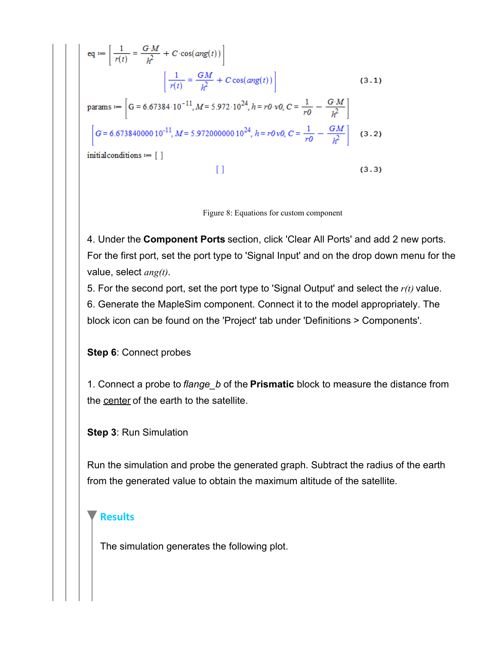eq: 
$$
eq := \left[\frac{1}{r(t)} = \frac{G \cdot M}{h^2} + C \cdot \cos(\text{ang}(t))\right]
$$
\n
$$
\left[\frac{1}{r(t)} = \frac{GM}{h^2} + C \cos(\text{ang}(t))\right]
$$
\n
$$
\text{params} := \left[G = 6.67384 \cdot 10^{-11}, M = 5.972 \cdot 10^{24}, h = r0 \cdot v0, C = \frac{1}{r0} - \frac{G \cdot M}{h^2}\right]
$$
\n
$$
\left[G = 6.67384000010^{-11}, M = 5.97200000010^{24}, h = r0 v0, C = \frac{1}{r0} - \frac{GM}{h^2}\right] \quad (3.2)
$$
\ninitial conditions := [ ]

\n
$$
\left[\frac{1}{r(t)}\right] \quad (3.3)
$$

Figure 8: Equations for custom component

4. Under the **Component Ports** section, click 'Clear All Ports' and add 2 new ports. For the first port, set the port type to 'Signal Input' and on the drop down menu for the value, select *ang(t)*.

5. For the second port, set the port type to 'Signal Output' and select the *r(t)* value.

6. Generate the MapleSim component. Connect it to the model appropriately. The block icon can be found on the 'Project' tab under 'Definitions > Components'.

**Step 6**: Connect probes

1. Connect a probe to *flange\_b* of the **Prismatic** block to measure the distance from the center of the earth to the satellite.

#### **Step 3**: Run Simulation

Run the simulation and probe the generated graph. Subtract the radius of the earth from the generated value to obtain the maximum altitude of the satellite.

#### **Results**

The simulation generates the following plot.